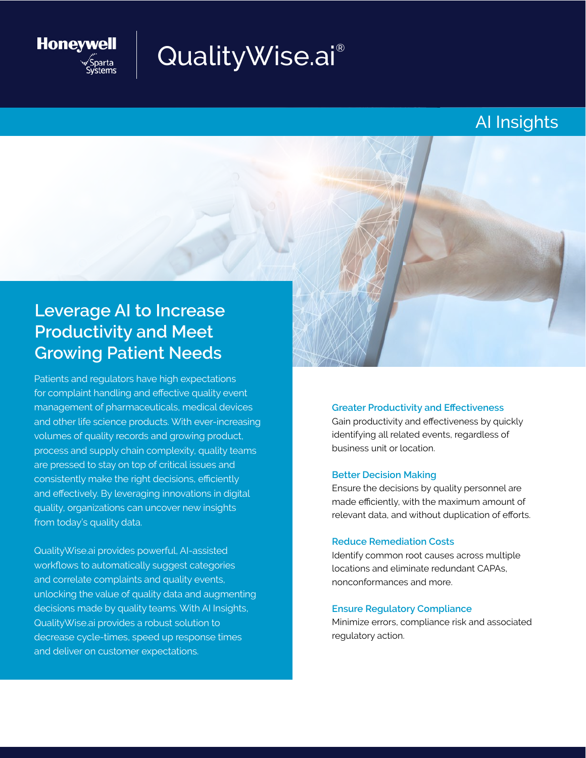

# QualityWise.ai®

## AI Insights

## **Leverage AI to Increase Productivity and Meet Growing Patient Needs**

Patients and regulators have high expectations for complaint handling and effective quality event management of pharmaceuticals, medical devices and other life science products. With ever-increasing volumes of quality records and growing product, process and supply chain complexity, quality teams are pressed to stay on top of critical issues and consistently make the right decisions, efficiently and effectively. By leveraging innovations in digital quality, organizations can uncover new insights from today's quality data.

QualityWise.ai provides powerful, AI-assisted workflows to automatically suggest categories and correlate complaints and quality events, unlocking the value of quality data and augmenting decisions made by quality teams. With AI Insights, QualityWise.ai provides a robust solution to decrease cycle-times, speed up response times and deliver on customer expectations.

**Greater Productivity and Effectiveness**  Gain productivity and effectiveness by quickly identifying all related events, regardless of business unit or location.

#### **Better Decision Making**

Ensure the decisions by quality personnel are made efficiently, with the maximum amount of relevant data, and without duplication of efforts.

#### **Reduce Remediation Costs**

Identify common root causes across multiple locations and eliminate redundant CAPAs, nonconformances and more.

#### **Ensure Regulatory Compliance**

Minimize errors, compliance risk and associated regulatory action.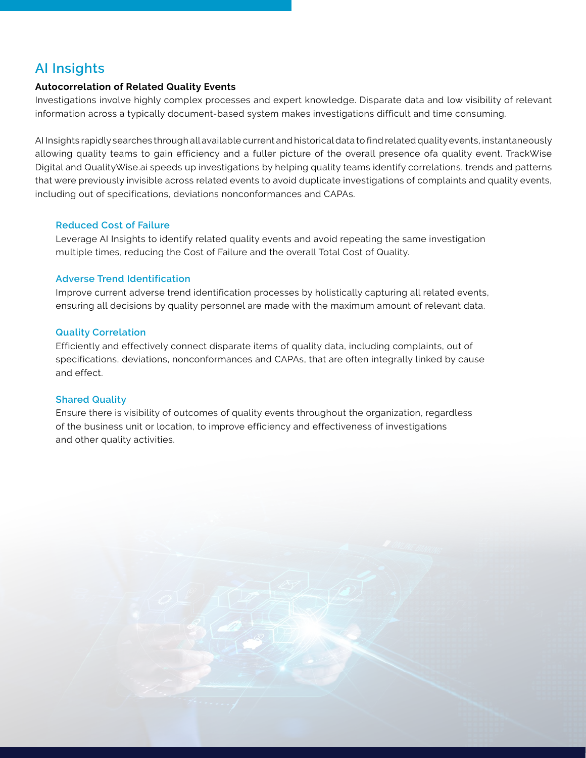### **AI Insights**

#### **Autocorrelation of Related Quality Events**

Investigations involve highly complex processes and expert knowledge. Disparate data and low visibility of relevant information across a typically document-based system makes investigations difficult and time consuming.

AI Insights rapidly searches through all available current and historical data to find related quality events, instantaneously allowing quality teams to gain efficiency and a fuller picture of the overall presence ofa quality event. TrackWise Digital and QualityWise.ai speeds up investigations by helping quality teams identify correlations, trends and patterns that were previously invisible across related events to avoid duplicate investigations of complaints and quality events, including out of specifications, deviations nonconformances and CAPAs.

#### **Reduced Cost of Failure**

Leverage AI Insights to identify related quality events and avoid repeating the same investigation multiple times, reducing the Cost of Failure and the overall Total Cost of Quality.

#### **Adverse Trend Identification**

Improve current adverse trend identification processes by holistically capturing all related events, ensuring all decisions by quality personnel are made with the maximum amount of relevant data.

#### **Quality Correlation**

Efficiently and effectively connect disparate items of quality data, including complaints, out of specifications, deviations, nonconformances and CAPAs, that are often integrally linked by cause and effect.

#### **Shared Quality**

Ensure there is visibility of outcomes of quality events throughout the organization, regardless of the business unit or location, to improve efficiency and effectiveness of investigations and other quality activities.